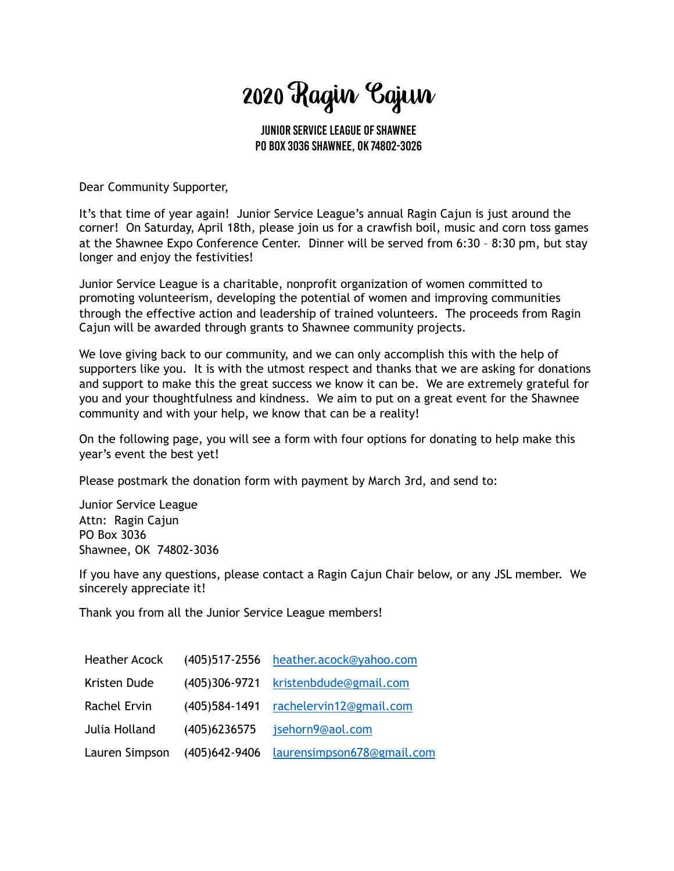# 2020 Ragin Cajun

Junior Service League of Shawnee PO Box 3036 Shawnee, OK 74802-3026

Dear Community Supporter,

It's that time of year again! Junior Service League's annual Ragin Cajun is just around the corner! On Saturday, April 18th, please join us for a crawfish boil, music and corn toss games at the Shawnee Expo Conference Center. Dinner will be served from 6:30 – 8:30 pm, but stay longer and enjoy the festivities!

Junior Service League is a charitable, nonprofit organization of women committed to promoting volunteerism, developing the potential of women and improving communities through the effective action and leadership of trained volunteers. The proceeds from Ragin Cajun will be awarded through grants to Shawnee community projects.

We love giving back to our community, and we can only accomplish this with the help of supporters like you. It is with the utmost respect and thanks that we are asking for donations and support to make this the great success we know it can be. We are extremely grateful for you and your thoughtfulness and kindness. We aim to put on a great event for the Shawnee community and with your help, we know that can be a reality!

On the following page, you will see a form with four options for donating to help make this year's event the best yet!

Please postmark the donation form with payment by March 3rd, and send to:

Junior Service League Attn: Ragin Cajun PO Box 3036 Shawnee, OK 74802-3036

If you have any questions, please contact a Ragin Cajun Chair below, or any JSL member. We sincerely appreciate it!

Thank you from all the Junior Service League members!

| <b>Heather Acock</b> |                 | (405)517-2556 heather.acock@yahoo.com |
|----------------------|-----------------|---------------------------------------|
| Kristen Dude         |                 | (405)306-9721 kristenbdude@gmail.com  |
| Rachel Ervin         | $(405)584-1491$ | rachelervin12@gmail.com               |
| Julia Holland        | (405) 623 6575  | jsehorn9@aol.com                      |
| Lauren Simpson       | (405) 642-9406  | laurensimpson678@gmail.com            |